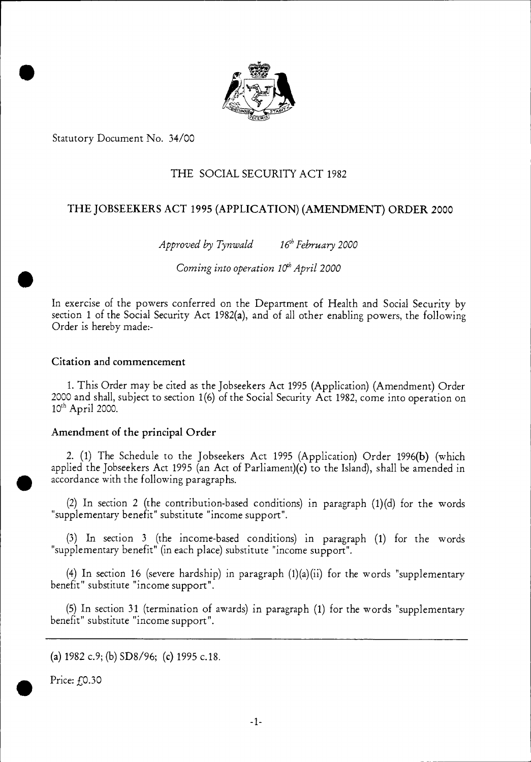

Statutory Document No. 34/00

•

## THE SOCIAL SECURITY ACT 1982

# THE JOBSEEKERS ACT 1995 (APPLICATION) (AMENDMENT) ORDER 2000

*Approved by Tynwald* 16<sup>th</sup> February 2000

*Coming into operation 10<sup>th</sup> April 2000* 

In exercise of the powers conferred on the Department of Health and Social Security by section 1 of the Social Security Act 1982(a), and of all other enabling powers, the following Order is hereby made:-

### Citation and commencement

1. This Order may be cited as the Jobseekers Act 1995 (Application) (Amendment) Order 2000 and shall, subject to section 1(6) of the Social Security Act 1982, come into operation on  $10<sup>th</sup>$  April 2000.

### Amendment of the principal Order

2. (1) The Schedule to the Jobseekers Act 1995 (Application) Order 1996(b) (which applied the Jobseekers Act 1995 (an Act of Parliament)(c) to the Island), shall be amended in accordance with the following paragraphs.

(2) In section 2 (the contribution-based conditions) in paragraph (1)(d) for the words "supplementary benefit" substitute "income support".

(3) In section 3 (the income-based conditions) in paragraph (1) for the words "supplementary benefit" (in each place) substitute "income support".

(4) In section 16 (severe hardship) in paragraph  $(1)(a)(ii)$  for the words "supplementary benefit" substitute "income support".

(5) In section 31 (termination of awards) in paragraph (1) for the words "supplementary benefit" substitute "income support".

(a)  $1982 \text{ c.9}$ ; (b)  $SD8/96$ ; (c)  $1995 \text{ c.18}$ .

Price: f.0.30